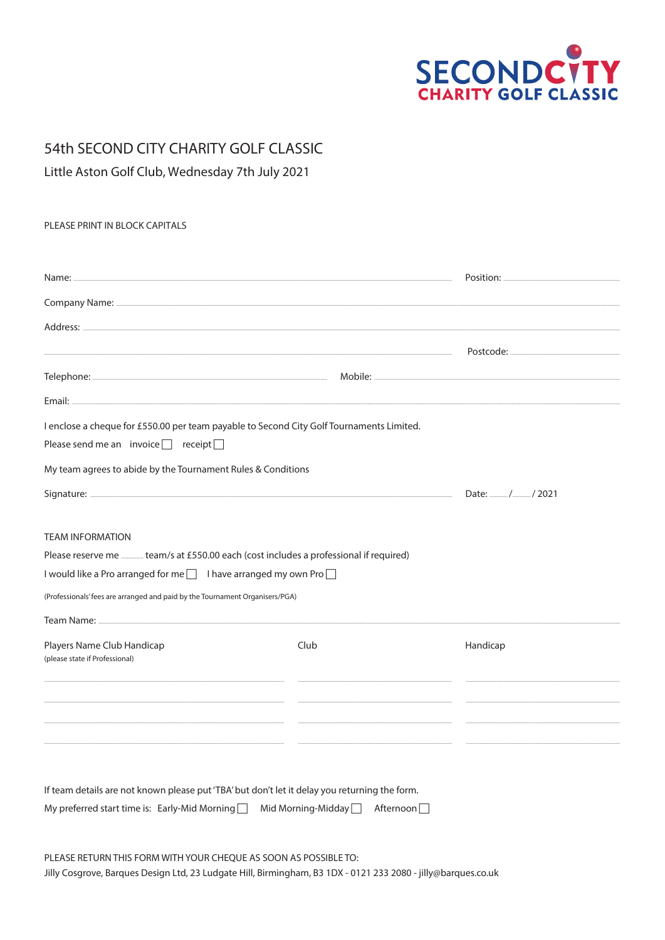

## 54th SECOND CITY CHARITY GOLF CLASSIC

Little Aston Golf Club, Wednesday 7th July 2021

### PLEASE PRINT IN BLOCK CAPITALS

| I enclose a cheque for £550.00 per team payable to Second City Golf Tournaments Limited.      |                           |                             |
|-----------------------------------------------------------------------------------------------|---------------------------|-----------------------------|
| Please send me an invoice $\Box$ receipt $\Box$                                               |                           |                             |
| My team agrees to abide by the Tournament Rules & Conditions                                  |                           |                             |
|                                                                                               |                           | Date: ______ / _____ / 2021 |
|                                                                                               |                           |                             |
| <b>TEAM INFORMATION</b>                                                                       |                           |                             |
| Please reserve me  team/s at £550.00 each (cost includes a professional if required)          |                           |                             |
| I would like a Pro arranged for me $\Box$ I have arranged my own Pro $\Box$                   |                           |                             |
| (Professionals' fees are arranged and paid by the Tournament Organisers/PGA)                  |                           |                             |
|                                                                                               |                           |                             |
| Players Name Club Handicap<br>(please state if Professional)                                  | Club                      | Handicap                    |
|                                                                                               |                           |                             |
|                                                                                               |                           |                             |
|                                                                                               |                           |                             |
|                                                                                               |                           |                             |
| If team details are not known please put 'TBA' but don't let it delay you returning the form. |                           |                             |
| My preferred start time is: Early-Mid Morning $\Box$                                          | Mid Morning-Midday $\Box$ | Afternoon $\Box$            |

PLEASE RETURN THIS FORM WITH YOUR CHEQUE AS SOON AS POSSIBLE TO: Jilly Cosgrove, Barques Design Ltd, 23 Ludgate Hill, Birmingham, B3 1DX - 0121 233 2080 - jilly@barques.co.uk